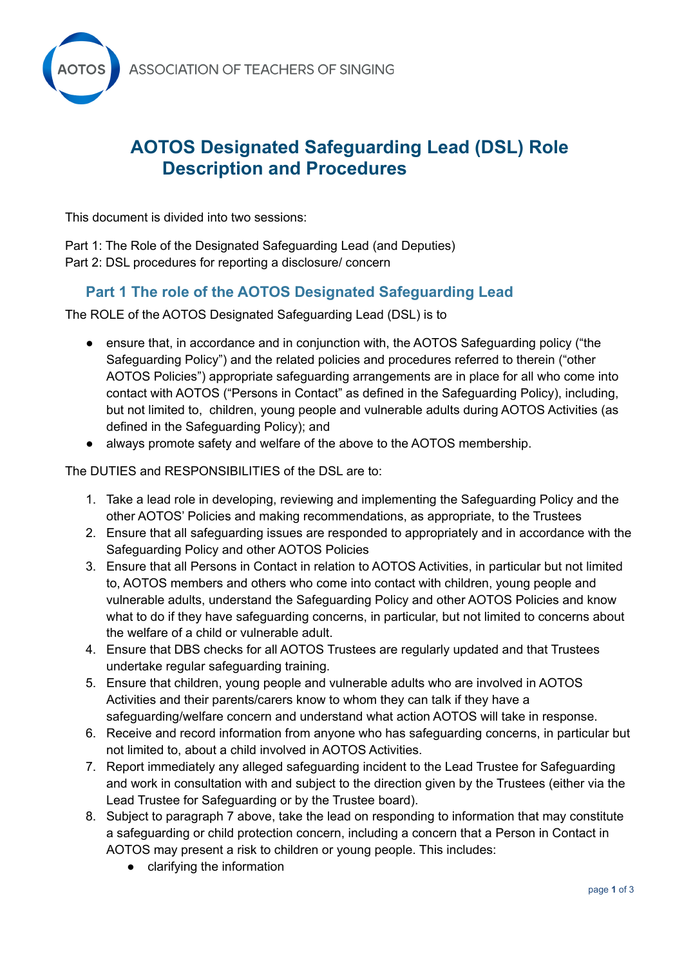

# **AOTOS Designated Safeguarding Lead (DSL) Role Description and Procedures**

This document is divided into two sessions:

Part 1: The Role of the Designated Safeguarding Lead (and Deputies) Part 2: DSL procedures for reporting a disclosure/ concern

## **Part 1 The role of the AOTOS Designated Safeguarding Lead**

The ROLE of the AOTOS Designated Safeguarding Lead (DSL) is to

- ensure that, in accordance and in conjunction with, the AOTOS Safeguarding policy ("the Safeguarding Policy") and the related policies and procedures referred to therein ("other AOTOS Policies") appropriate safeguarding arrangements are in place for all who come into contact with AOTOS ("Persons in Contact" as defined in the Safeguarding Policy), including, but not limited to, children, young people and vulnerable adults during AOTOS Activities (as defined in the Safeguarding Policy); and
- always promote safety and welfare of the above to the AOTOS membership.

The DUTIES and RESPONSIBILITIES of the DSL are to:

- 1. Take a lead role in developing, reviewing and implementing the Safeguarding Policy and the other AOTOS' Policies and making recommendations, as appropriate, to the Trustees
- 2. Ensure that all safeguarding issues are responded to appropriately and in accordance with the Safeguarding Policy and other AOTOS Policies
- 3. Ensure that all Persons in Contact in relation to AOTOS Activities, in particular but not limited to, AOTOS members and others who come into contact with children, young people and vulnerable adults, understand the Safeguarding Policy and other AOTOS Policies and know what to do if they have safeguarding concerns, in particular, but not limited to concerns about the welfare of a child or vulnerable adult.
- 4. Ensure that DBS checks for all AOTOS Trustees are regularly updated and that Trustees undertake regular safeguarding training.
- 5. Ensure that children, young people and vulnerable adults who are involved in AOTOS Activities and their parents/carers know to whom they can talk if they have a safeguarding/welfare concern and understand what action AOTOS will take in response.
- 6. Receive and record information from anyone who has safeguarding concerns, in particular but not limited to, about a child involved in AOTOS Activities.
- 7. Report immediately any alleged safeguarding incident to the Lead Trustee for Safeguarding and work in consultation with and subject to the direction given by the Trustees (either via the Lead Trustee for Safeguarding or by the Trustee board).
- 8. Subject to paragraph 7 above, take the lead on responding to information that may constitute a safeguarding or child protection concern, including a concern that a Person in Contact in AOTOS may present a risk to children or young people. This includes:
	- clarifying the information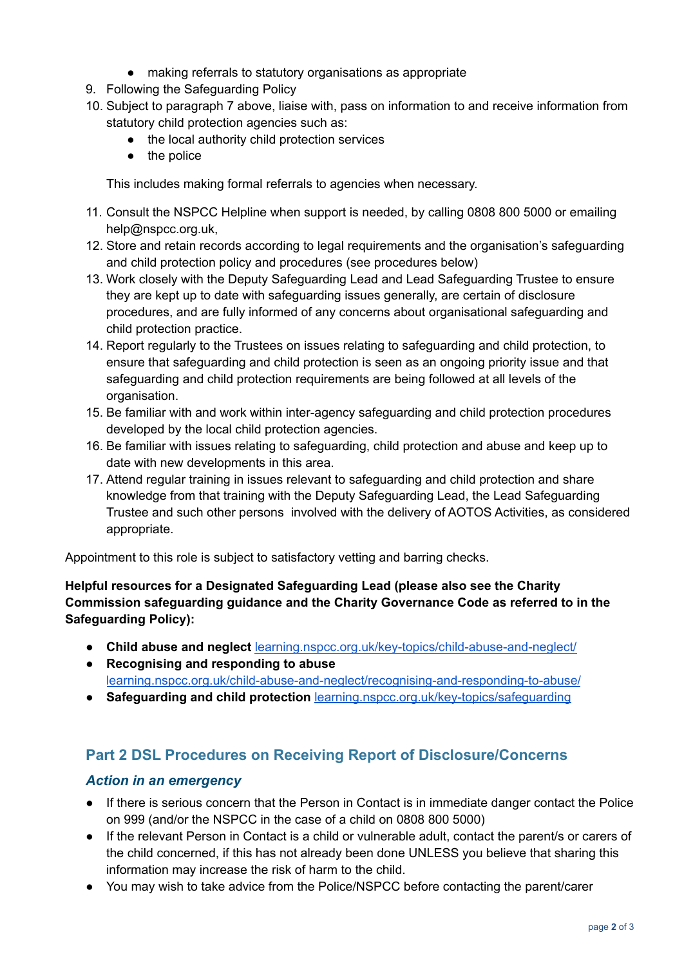- making referrals to statutory organisations as appropriate
- 9. Following the Safeguarding Policy
- 10. Subject to paragraph 7 above, liaise with, pass on information to and receive information from statutory child protection agencies such as:
	- the local authority child protection services
	- the police

This includes making formal referrals to agencies when necessary.

- 11. Consult the NSPCC Helpline when support is needed, by calling 0808 800 5000 or emailing help@nspcc.org.uk,
- 12. Store and retain records according to legal requirements and the organisation's safeguarding and child protection policy and procedures (see procedures below)
- 13. Work closely with the Deputy Safeguarding Lead and Lead Safeguarding Trustee to ensure they are kept up to date with safeguarding issues generally, are certain of disclosure procedures, and are fully informed of any concerns about organisational safeguarding and child protection practice.
- 14. Report regularly to the Trustees on issues relating to safeguarding and child protection, to ensure that safeguarding and child protection is seen as an ongoing priority issue and that safeguarding and child protection requirements are being followed at all levels of the organisation.
- 15. Be familiar with and work within inter-agency safeguarding and child protection procedures developed by the local child protection agencies.
- 16. Be familiar with issues relating to safeguarding, child protection and abuse and keep up to date with new developments in this area.
- 17. Attend regular training in issues relevant to safeguarding and child protection and share knowledge from that training with the Deputy Safeguarding Lead, the Lead Safeguarding Trustee and such other persons involved with the delivery of AOTOS Activities, as considered appropriate.

Appointment to this role is subject to satisfactory vetting and barring checks.

**Helpful resources for a Designated Safeguarding Lead (please also see the Charity Commission safeguarding guidance and the Charity Governance Code as referred to in the Safeguarding Policy):**

- **Child abuse and neglect** [learning.nspcc.org.uk/key-topics/child-abuse-and-neglect/](http://learning.nspcc.org.uk/key-topics/child-abuse-and-neglect/)
- **Recognising and responding to abuse** [learning.nspcc.org.uk/child-abuse-and-neglect/recognising-and-responding-to-abuse/](http://learning.nspcc.org.uk/child-abuse-and-neglect/recognising-and-responding-to-abuse/)
- **Safeguarding and child protection** [learning.nspcc.org.uk/key-topics/safeguarding](http://learning.nspcc.org.uk/key-topics/safeguarding)

### **Part 2 DSL Procedures on Receiving Report of Disclosure/Concerns**

#### *Action in an emergency*

- If there is serious concern that the Person in Contact is in immediate danger contact the Police on 999 (and/or the NSPCC in the case of a child on 0808 800 5000)
- If the relevant Person in Contact is a child or vulnerable adult, contact the parent/s or carers of the child concerned, if this has not already been done UNLESS you believe that sharing this information may increase the risk of harm to the child.
- You may wish to take advice from the Police/NSPCC before contacting the parent/carer